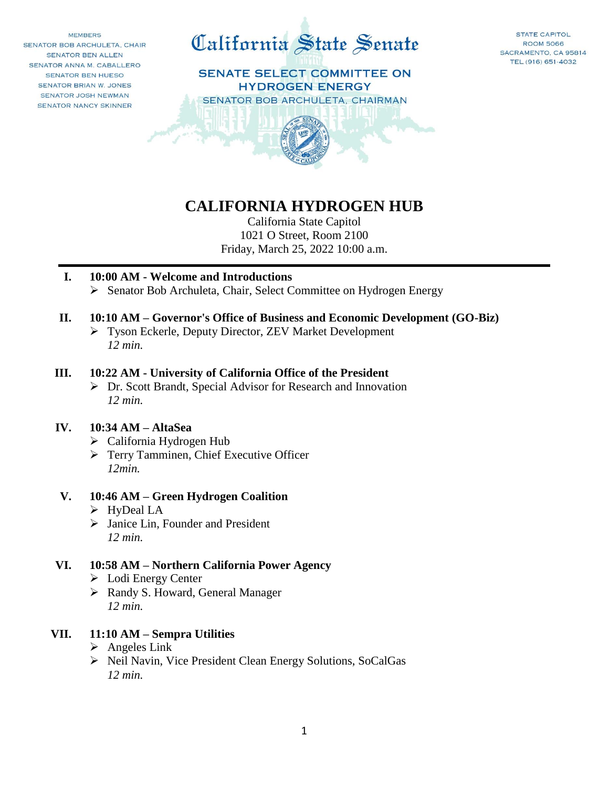**MEMBERS** SENATOR BOB ARCHULETA, CHAIR SENATOR BEN ALLEN SENATOR ANNA M. CABALLERO SENATOR BEN HUESO SENATOR BRIAN W. JONES SENATOR JOSH NEWMAN SENATOR NANCY SKINNER





# **CALIFORNIA HYDROGEN HUB**

California State Capitol 1021 O Street, Room 2100 Friday, March 25, 2022 10:00 a.m.

#### **I. 10:00 AM - Welcome and Introductions**

Senator Bob Archuleta, Chair, Select Committee on Hydrogen Energy

#### **II. 10:10 AM – Governor's Office of Business and Economic Development (GO-Biz)**

 Tyson Eckerle, Deputy Director, ZEV Market Development *12 min.*

#### **III. 10:22 AM - University of California Office of the President**

 Dr. Scott Brandt, Special Advisor for Research and Innovation *12 min.*

#### **IV. 10:34 AM – AltaSea**

- California Hydrogen Hub
- Terry Tamminen, Chief Executive Officer *12min.*

#### **V. 10:46 AM – Green Hydrogen Coalition**

- HyDeal LA
- $\triangleright$  Janice Lin, Founder and President *12 min.*

#### **VI. 10:58 AM – Northern California Power Agency**

- Lodi Energy Center
- Randy S. Howard, General Manager *12 min.*

#### **VII. 11:10 AM – Sempra Utilities**

- $\triangleright$  Angeles Link
- ▶ Neil Navin, Vice President Clean Energy Solutions, SoCalGas *12 min.*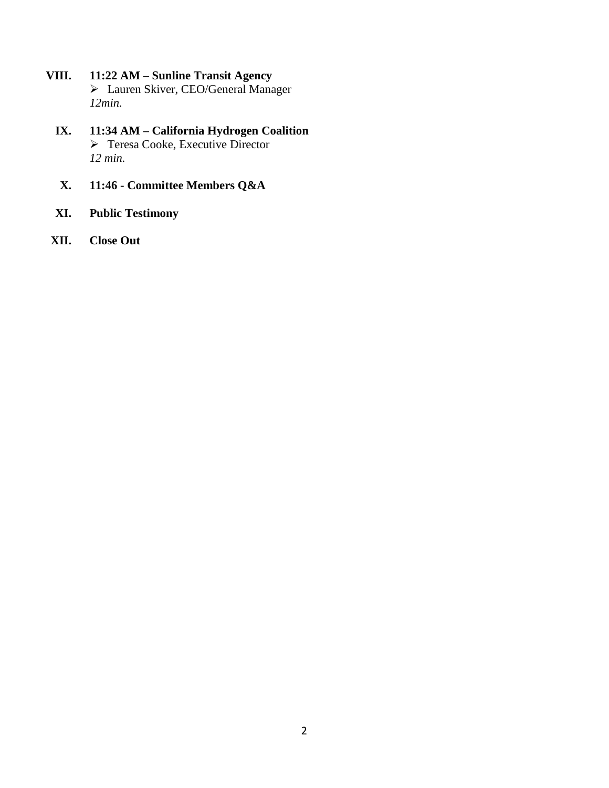- **VIII. 11:22 AM – Sunline Transit Agency** Lauren Skiver, CEO/General Manager *12min.*
	- **IX. 11:34 AM – California Hydrogen Coalition** Teresa Cooke, Executive Director *12 min.*
	- **X. 11:46 - Committee Members Q&A**
	- **XI. Public Testimony**
- **XII. Close Out**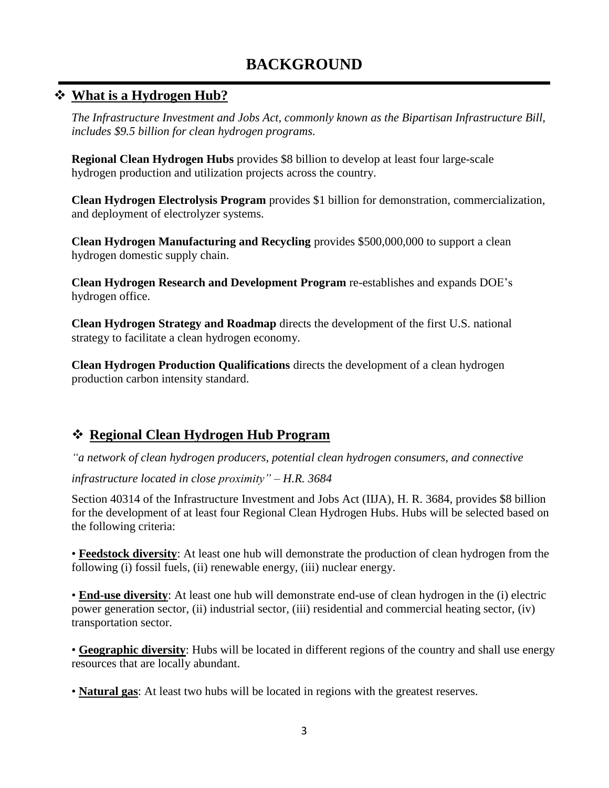# **BACKGROUND**

## **What is a Hydrogen Hub?**

*The Infrastructure Investment and Jobs Act, commonly known as the Bipartisan Infrastructure Bill, includes \$9.5 billion for clean hydrogen programs.*

**Regional Clean Hydrogen Hubs** provides \$8 billion to develop at least four large-scale hydrogen production and utilization projects across the country.

**Clean Hydrogen Electrolysis Program** provides \$1 billion for demonstration, commercialization, and deployment of electrolyzer systems.

**Clean Hydrogen Manufacturing and Recycling** provides \$500,000,000 to support a clean hydrogen domestic supply chain.

**Clean Hydrogen Research and Development Program** re-establishes and expands DOE's hydrogen office.

**Clean Hydrogen Strategy and Roadmap** directs the development of the first U.S. national strategy to facilitate a clean hydrogen economy.

**Clean Hydrogen Production Qualifications** directs the development of a clean hydrogen production carbon intensity standard.

# **Regional Clean Hydrogen Hub Program**

*"a network of clean hydrogen producers, potential clean hydrogen consumers, and connective*

*infrastructure located in close proximity" – H.R. 3684*

Section 40314 of the Infrastructure Investment and Jobs Act (IIJA), H. R. 3684, provides \$8 billion for the development of at least four Regional Clean Hydrogen Hubs. Hubs will be selected based on the following criteria:

• **Feedstock diversity**: At least one hub will demonstrate the production of clean hydrogen from the following (i) fossil fuels, (ii) renewable energy, (iii) nuclear energy.

• **End-use diversity**: At least one hub will demonstrate end-use of clean hydrogen in the (i) electric power generation sector, (ii) industrial sector, (iii) residential and commercial heating sector, (iv) transportation sector.

• **Geographic diversity**: Hubs will be located in different regions of the country and shall use energy resources that are locally abundant.

• **Natural gas**: At least two hubs will be located in regions with the greatest reserves.